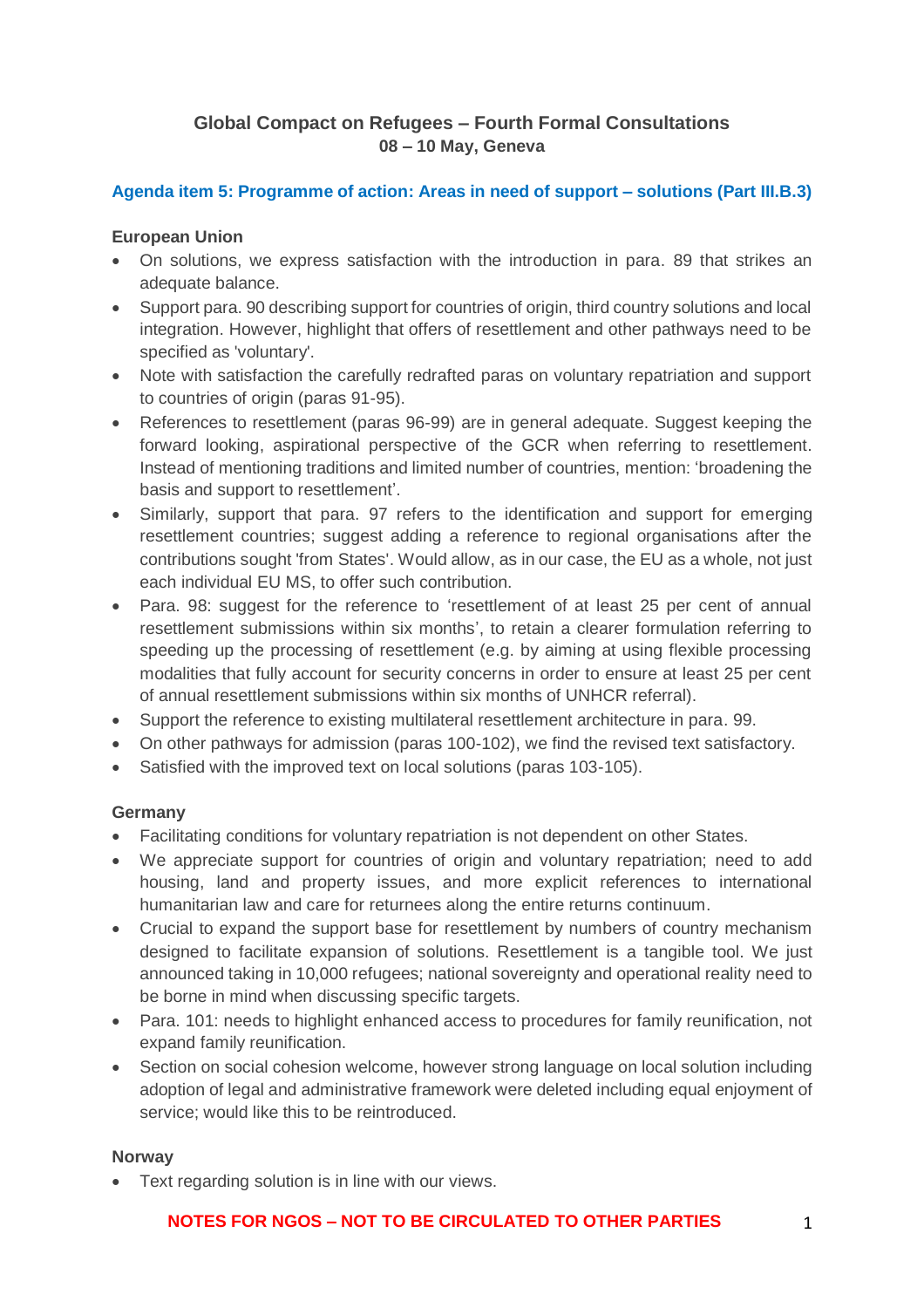# **Global Compact on Refugees – Fourth Formal Consultations 08 – 10 May, Geneva**

# **Agenda item 5: Programme of action: Areas in need of support – solutions (Part III.B.3)**

#### **European Union**

- On solutions, we express satisfaction with the introduction in para. 89 that strikes an adequate balance.
- Support para. 90 describing support for countries of origin, third country solutions and local integration. However, highlight that offers of resettlement and other pathways need to be specified as 'voluntary'.
- Note with satisfaction the carefully redrafted paras on voluntary repatriation and support to countries of origin (paras 91-95).
- References to resettlement (paras 96-99) are in general adequate. Suggest keeping the forward looking, aspirational perspective of the GCR when referring to resettlement. Instead of mentioning traditions and limited number of countries, mention: 'broadening the basis and support to resettlement'.
- Similarly, support that para. 97 refers to the identification and support for emerging resettlement countries; suggest adding a reference to regional organisations after the contributions sought 'from States'. Would allow, as in our case, the EU as a whole, not just each individual EU MS, to offer such contribution.
- Para. 98: suggest for the reference to 'resettlement of at least 25 per cent of annual resettlement submissions within six months', to retain a clearer formulation referring to speeding up the processing of resettlement (e.g. by aiming at using flexible processing modalities that fully account for security concerns in order to ensure at least 25 per cent of annual resettlement submissions within six months of UNHCR referral).
- Support the reference to existing multilateral resettlement architecture in para. 99.
- On other pathways for admission (paras 100-102), we find the revised text satisfactory.
- Satisfied with the improved text on local solutions (paras 103-105).

# **Germany**

- Facilitating conditions for voluntary repatriation is not dependent on other States.
- We appreciate support for countries of origin and voluntary repatriation; need to add housing, land and property issues, and more explicit references to international humanitarian law and care for returnees along the entire returns continuum.
- Crucial to expand the support base for resettlement by numbers of country mechanism designed to facilitate expansion of solutions. Resettlement is a tangible tool. We just announced taking in 10,000 refugees; national sovereignty and operational reality need to be borne in mind when discussing specific targets.
- Para. 101: needs to highlight enhanced access to procedures for family reunification, not expand family reunification.
- Section on social cohesion welcome, however strong language on local solution including adoption of legal and administrative framework were deleted including equal enjoyment of service; would like this to be reintroduced.

#### **Norway**

• Text regarding solution is in line with our views.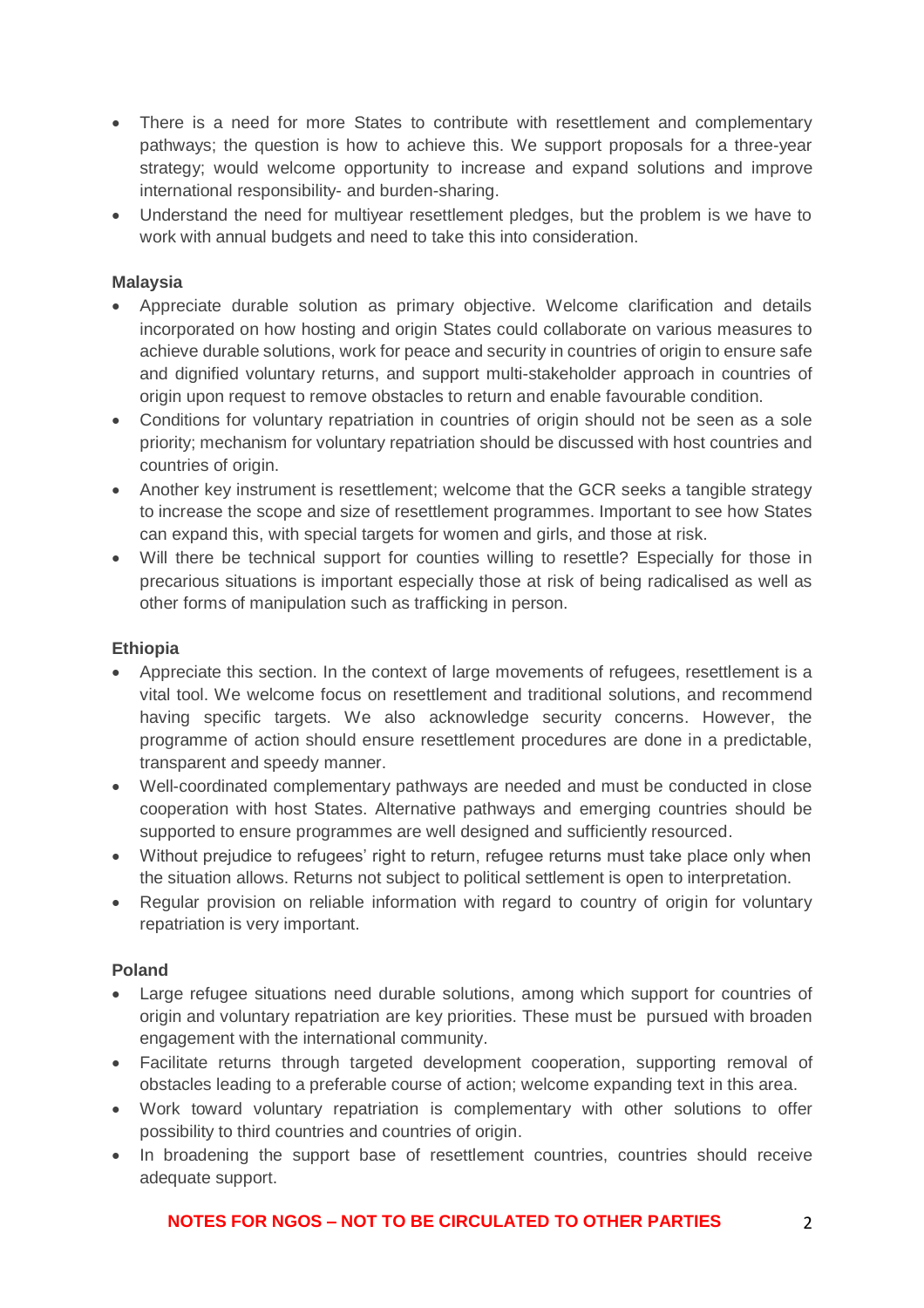- There is a need for more States to contribute with resettlement and complementary pathways; the question is how to achieve this. We support proposals for a three-year strategy; would welcome opportunity to increase and expand solutions and improve international responsibility- and burden-sharing.
- Understand the need for multiyear resettlement pledges, but the problem is we have to work with annual budgets and need to take this into consideration.

#### **Malaysia**

- Appreciate durable solution as primary objective. Welcome clarification and details incorporated on how hosting and origin States could collaborate on various measures to achieve durable solutions, work for peace and security in countries of origin to ensure safe and dignified voluntary returns, and support multi-stakeholder approach in countries of origin upon request to remove obstacles to return and enable favourable condition.
- Conditions for voluntary repatriation in countries of origin should not be seen as a sole priority; mechanism for voluntary repatriation should be discussed with host countries and countries of origin.
- Another key instrument is resettlement: welcome that the GCR seeks a tangible strategy to increase the scope and size of resettlement programmes. Important to see how States can expand this, with special targets for women and girls, and those at risk.
- Will there be technical support for counties willing to resettle? Especially for those in precarious situations is important especially those at risk of being radicalised as well as other forms of manipulation such as trafficking in person.

#### **Ethiopia**

- Appreciate this section. In the context of large movements of refugees, resettlement is a vital tool. We welcome focus on resettlement and traditional solutions, and recommend having specific targets. We also acknowledge security concerns. However, the programme of action should ensure resettlement procedures are done in a predictable, transparent and speedy manner.
- Well-coordinated complementary pathways are needed and must be conducted in close cooperation with host States. Alternative pathways and emerging countries should be supported to ensure programmes are well designed and sufficiently resourced.
- Without prejudice to refugees' right to return, refugee returns must take place only when the situation allows. Returns not subject to political settlement is open to interpretation.
- Regular provision on reliable information with regard to country of origin for voluntary repatriation is very important.

# **Poland**

- Large refugee situations need durable solutions, among which support for countries of origin and voluntary repatriation are key priorities. These must be pursued with broaden engagement with the international community.
- Facilitate returns through targeted development cooperation, supporting removal of obstacles leading to a preferable course of action; welcome expanding text in this area.
- Work toward voluntary repatriation is complementary with other solutions to offer possibility to third countries and countries of origin.
- In broadening the support base of resettlement countries, countries should receive adequate support.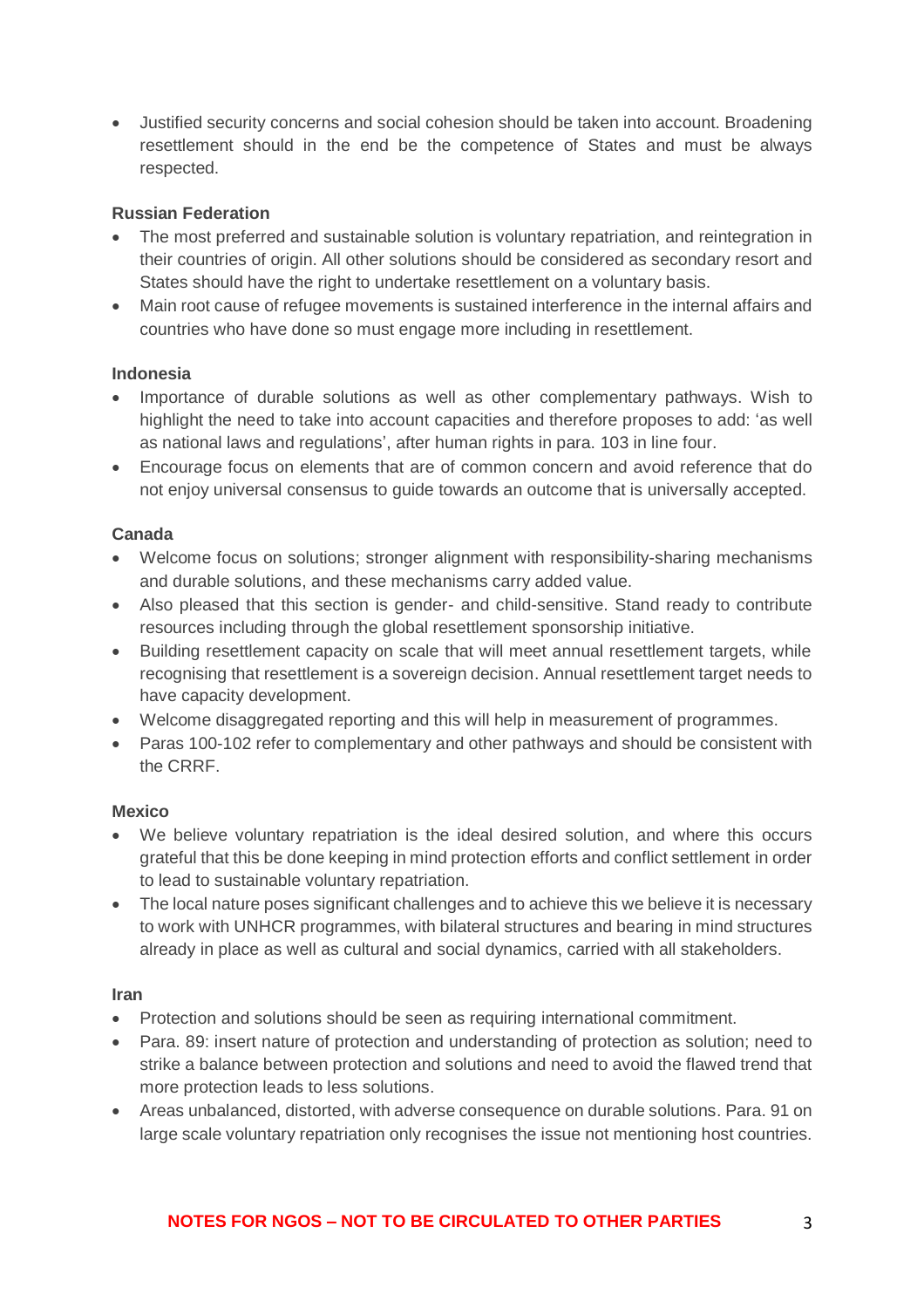• Justified security concerns and social cohesion should be taken into account. Broadening resettlement should in the end be the competence of States and must be always respected.

#### **Russian Federation**

- The most preferred and sustainable solution is voluntary repatriation, and reintegration in their countries of origin. All other solutions should be considered as secondary resort and States should have the right to undertake resettlement on a voluntary basis.
- Main root cause of refugee movements is sustained interference in the internal affairs and countries who have done so must engage more including in resettlement.

#### **Indonesia**

- Importance of durable solutions as well as other complementary pathways. Wish to highlight the need to take into account capacities and therefore proposes to add: 'as well as national laws and regulations', after human rights in para. 103 in line four.
- Encourage focus on elements that are of common concern and avoid reference that do not enjoy universal consensus to guide towards an outcome that is universally accepted.

#### **Canada**

- Welcome focus on solutions; stronger alignment with responsibility-sharing mechanisms and durable solutions, and these mechanisms carry added value.
- Also pleased that this section is gender- and child-sensitive. Stand ready to contribute resources including through the global resettlement sponsorship initiative.
- Building resettlement capacity on scale that will meet annual resettlement targets, while recognising that resettlement is a sovereign decision. Annual resettlement target needs to have capacity development.
- Welcome disaggregated reporting and this will help in measurement of programmes.
- Paras 100-102 refer to complementary and other pathways and should be consistent with the CRRF.

# **Mexico**

- We believe voluntary repatriation is the ideal desired solution, and where this occurs grateful that this be done keeping in mind protection efforts and conflict settlement in order to lead to sustainable voluntary repatriation.
- The local nature poses significant challenges and to achieve this we believe it is necessary to work with UNHCR programmes, with bilateral structures and bearing in mind structures already in place as well as cultural and social dynamics, carried with all stakeholders.

#### **Iran**

- Protection and solutions should be seen as requiring international commitment.
- Para. 89: insert nature of protection and understanding of protection as solution; need to strike a balance between protection and solutions and need to avoid the flawed trend that more protection leads to less solutions.
- Areas unbalanced, distorted, with adverse consequence on durable solutions. Para. 91 on large scale voluntary repatriation only recognises the issue not mentioning host countries.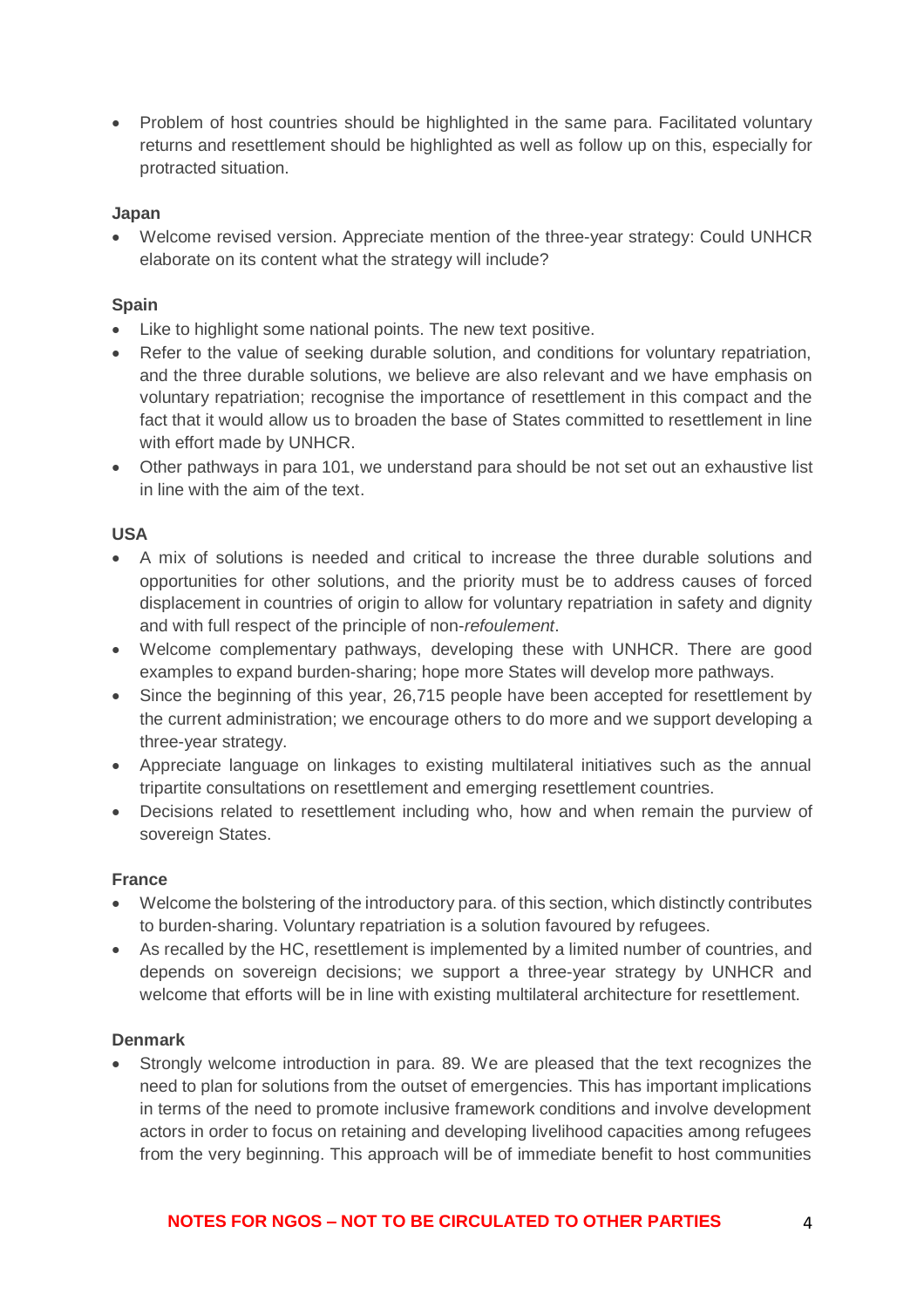• Problem of host countries should be highlighted in the same para. Facilitated voluntary returns and resettlement should be highlighted as well as follow up on this, especially for protracted situation.

#### **Japan**

• Welcome revised version. Appreciate mention of the three-year strategy: Could UNHCR elaborate on its content what the strategy will include?

# **Spain**

- Like to highlight some national points. The new text positive.
- Refer to the value of seeking durable solution, and conditions for voluntary repatriation, and the three durable solutions, we believe are also relevant and we have emphasis on voluntary repatriation; recognise the importance of resettlement in this compact and the fact that it would allow us to broaden the base of States committed to resettlement in line with effort made by UNHCR.
- Other pathways in para 101, we understand para should be not set out an exhaustive list in line with the aim of the text.

# **USA**

- A mix of solutions is needed and critical to increase the three durable solutions and opportunities for other solutions, and the priority must be to address causes of forced displacement in countries of origin to allow for voluntary repatriation in safety and dignity and with full respect of the principle of non-*refoulement*.
- Welcome complementary pathways, developing these with UNHCR. There are good examples to expand burden-sharing; hope more States will develop more pathways.
- Since the beginning of this year, 26,715 people have been accepted for resettlement by the current administration; we encourage others to do more and we support developing a three-year strategy.
- Appreciate language on linkages to existing multilateral initiatives such as the annual tripartite consultations on resettlement and emerging resettlement countries.
- Decisions related to resettlement including who, how and when remain the purview of sovereign States.

# **France**

- Welcome the bolstering of the introductory para. of this section, which distinctly contributes to burden-sharing. Voluntary repatriation is a solution favoured by refugees.
- As recalled by the HC, resettlement is implemented by a limited number of countries, and depends on sovereign decisions; we support a three-year strategy by UNHCR and welcome that efforts will be in line with existing multilateral architecture for resettlement.

# **Denmark**

• Strongly welcome introduction in para. 89. We are pleased that the text recognizes the need to plan for solutions from the outset of emergencies. This has important implications in terms of the need to promote inclusive framework conditions and involve development actors in order to focus on retaining and developing livelihood capacities among refugees from the very beginning. This approach will be of immediate benefit to host communities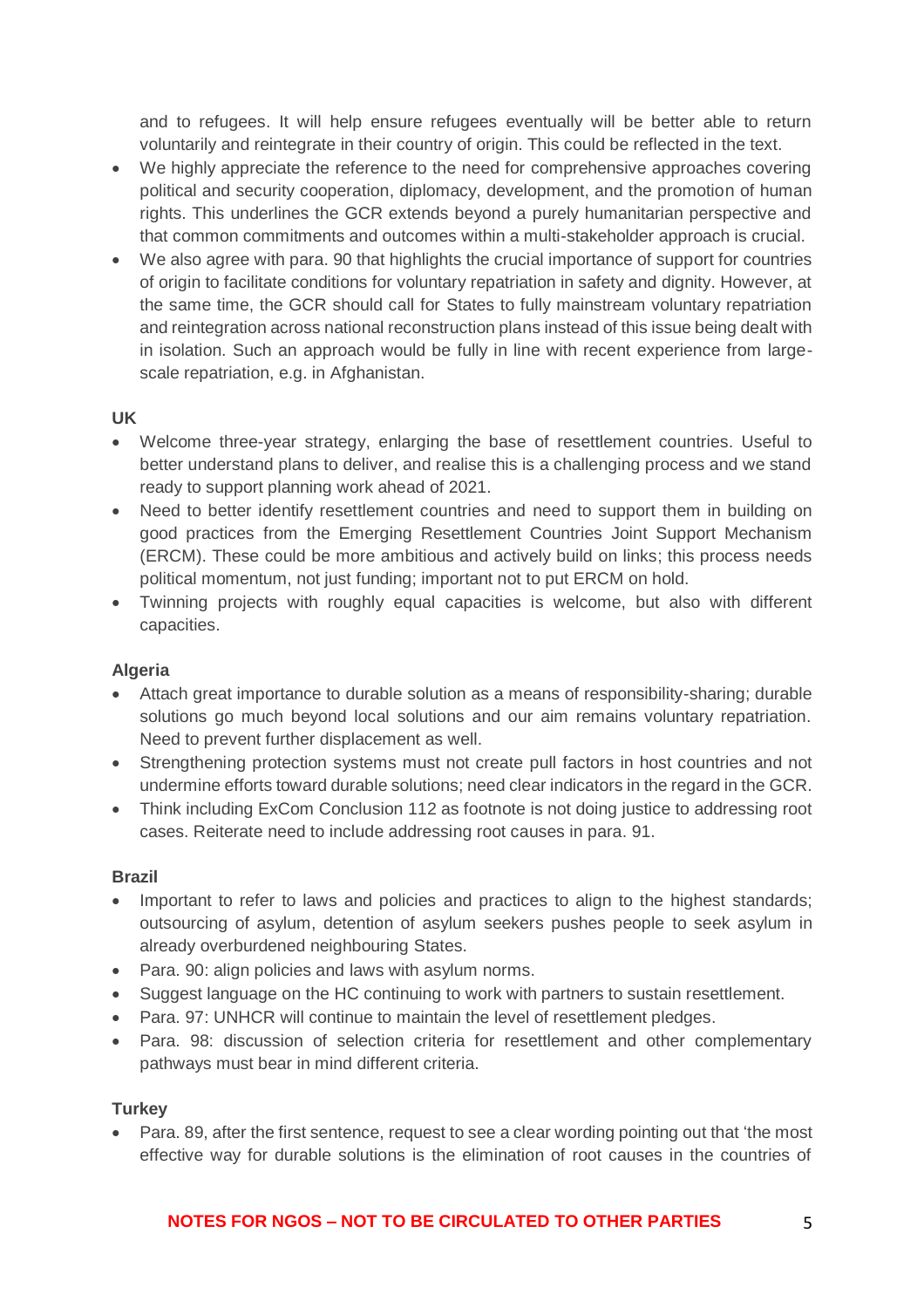and to refugees. It will help ensure refugees eventually will be better able to return voluntarily and reintegrate in their country of origin. This could be reflected in the text.

- We highly appreciate the reference to the need for comprehensive approaches covering political and security cooperation, diplomacy, development, and the promotion of human rights. This underlines the GCR extends beyond a purely humanitarian perspective and that common commitments and outcomes within a multi-stakeholder approach is crucial.
- We also agree with para. 90 that highlights the crucial importance of support for countries of origin to facilitate conditions for voluntary repatriation in safety and dignity. However, at the same time, the GCR should call for States to fully mainstream voluntary repatriation and reintegration across national reconstruction plans instead of this issue being dealt with in isolation. Such an approach would be fully in line with recent experience from largescale repatriation, e.g. in Afghanistan.

# **UK**

- Welcome three-year strategy, enlarging the base of resettlement countries. Useful to better understand plans to deliver, and realise this is a challenging process and we stand ready to support planning work ahead of 2021.
- Need to better identify resettlement countries and need to support them in building on good practices from the Emerging Resettlement Countries Joint Support Mechanism (ERCM). These could be more ambitious and actively build on links; this process needs political momentum, not just funding; important not to put ERCM on hold.
- Twinning projects with roughly equal capacities is welcome, but also with different capacities.

# **Algeria**

- Attach great importance to durable solution as a means of responsibility-sharing; durable solutions go much beyond local solutions and our aim remains voluntary repatriation. Need to prevent further displacement as well.
- Strengthening protection systems must not create pull factors in host countries and not undermine efforts toward durable solutions; need clear indicators in the regard in the GCR.
- Think including ExCom Conclusion 112 as footnote is not doing justice to addressing root cases. Reiterate need to include addressing root causes in para. 91.

# **Brazil**

- Important to refer to laws and policies and practices to align to the highest standards; outsourcing of asylum, detention of asylum seekers pushes people to seek asylum in already overburdened neighbouring States.
- Para. 90: align policies and laws with asylum norms.
- Suggest language on the HC continuing to work with partners to sustain resettlement.
- Para. 97: UNHCR will continue to maintain the level of resettlement pledges.
- Para. 98: discussion of selection criteria for resettlement and other complementary pathways must bear in mind different criteria.

# **Turkey**

• Para. 89, after the first sentence, request to see a clear wording pointing out that 'the most effective way for durable solutions is the elimination of root causes in the countries of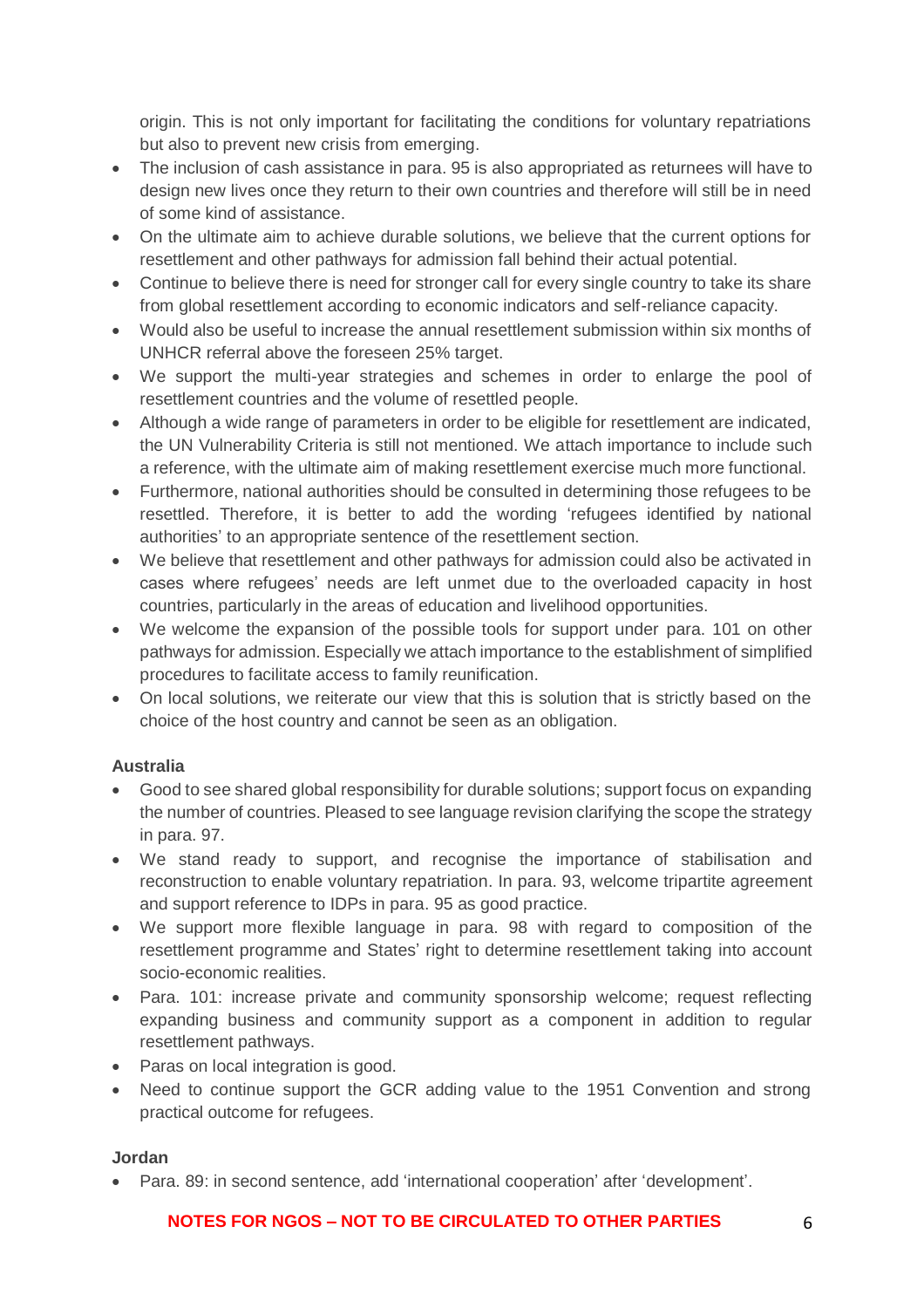origin. This is not only important for facilitating the conditions for voluntary repatriations but also to prevent new crisis from emerging.

- The inclusion of cash assistance in para. 95 is also appropriated as returnees will have to design new lives once they return to their own countries and therefore will still be in need of some kind of assistance.
- On the ultimate aim to achieve durable solutions, we believe that the current options for resettlement and other pathways for admission fall behind their actual potential.
- Continue to believe there is need for stronger call for every single country to take its share from global resettlement according to economic indicators and self-reliance capacity.
- Would also be useful to increase the annual resettlement submission within six months of UNHCR referral above the foreseen 25% target.
- We support the multi-year strategies and schemes in order to enlarge the pool of resettlement countries and the volume of resettled people.
- Although a wide range of parameters in order to be eligible for resettlement are indicated, the UN Vulnerability Criteria is still not mentioned. We attach importance to include such a reference, with the ultimate aim of making resettlement exercise much more functional.
- Furthermore, national authorities should be consulted in determining those refugees to be resettled. Therefore, it is better to add the wording 'refugees identified by national authorities' to an appropriate sentence of the resettlement section.
- We believe that resettlement and other pathways for admission could also be activated in cases where refugees' needs are left unmet due to the overloaded capacity in host countries, particularly in the areas of education and livelihood opportunities.
- We welcome the expansion of the possible tools for support under para. 101 on other pathways for admission. Especially we attach importance to the establishment of simplified procedures to facilitate access to family reunification.
- On local solutions, we reiterate our view that this is solution that is strictly based on the choice of the host country and cannot be seen as an obligation.

# **Australia**

- Good to see shared global responsibility for durable solutions; support focus on expanding the number of countries. Pleased to see language revision clarifying the scope the strategy in para. 97.
- We stand ready to support, and recognise the importance of stabilisation and reconstruction to enable voluntary repatriation. In para. 93, welcome tripartite agreement and support reference to IDPs in para. 95 as good practice.
- We support more flexible language in para. 98 with regard to composition of the resettlement programme and States' right to determine resettlement taking into account socio-economic realities.
- Para. 101: increase private and community sponsorship welcome; request reflecting expanding business and community support as a component in addition to regular resettlement pathways.
- Paras on local integration is good.
- Need to continue support the GCR adding value to the 1951 Convention and strong practical outcome for refugees.

# **Jordan**

• Para. 89: in second sentence, add 'international cooperation' after 'development'.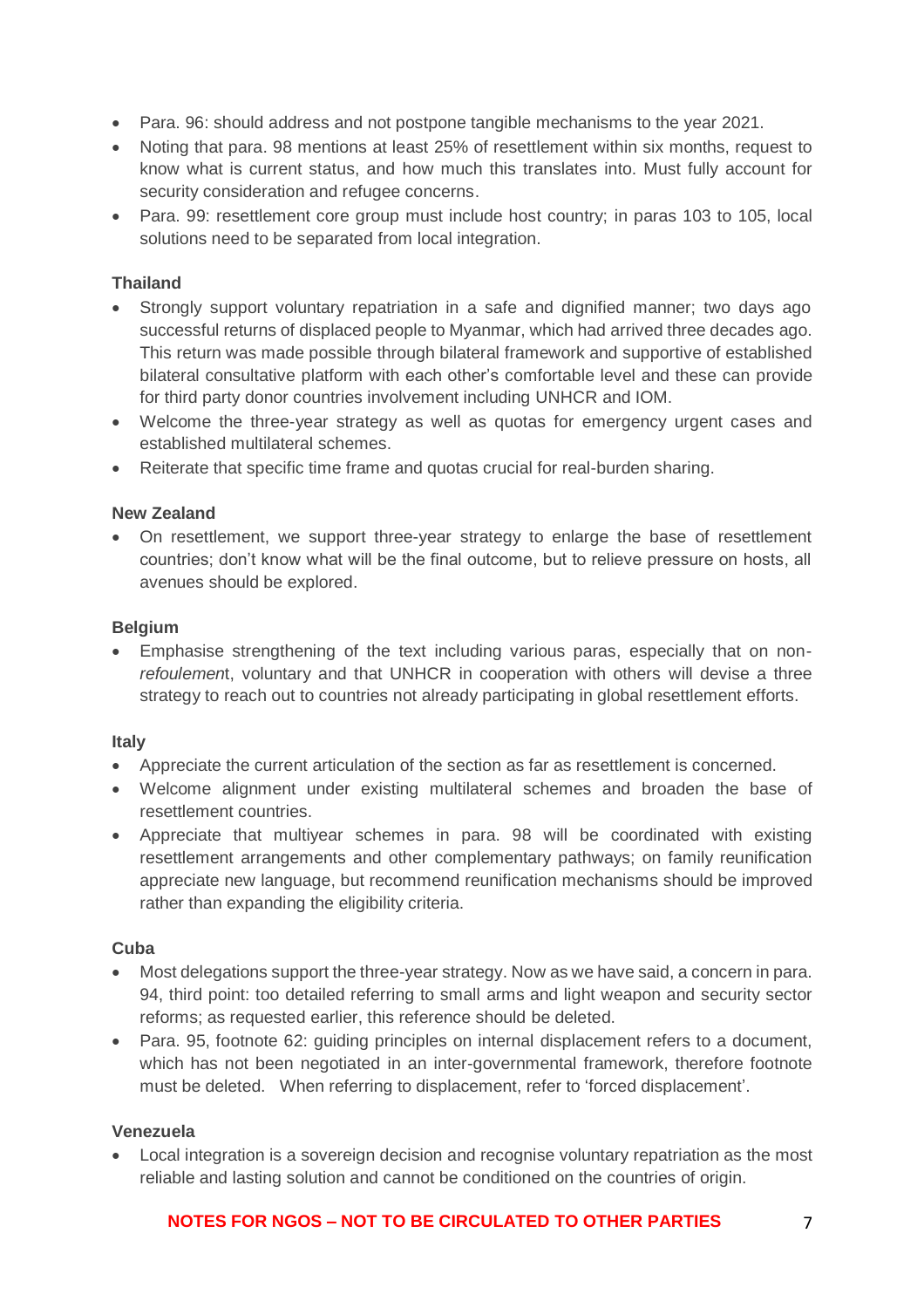- Para. 96: should address and not postpone tangible mechanisms to the year 2021.
- Noting that para. 98 mentions at least 25% of resettlement within six months, request to know what is current status, and how much this translates into. Must fully account for security consideration and refugee concerns.
- Para. 99: resettlement core group must include host country; in paras 103 to 105, local solutions need to be separated from local integration.

# **Thailand**

- Strongly support voluntary repatriation in a safe and dignified manner; two days ago successful returns of displaced people to Myanmar, which had arrived three decades ago. This return was made possible through bilateral framework and supportive of established bilateral consultative platform with each other's comfortable level and these can provide for third party donor countries involvement including UNHCR and IOM.
- Welcome the three-year strategy as well as quotas for emergency urgent cases and established multilateral schemes.
- Reiterate that specific time frame and quotas crucial for real-burden sharing.

#### **New Zealand**

• On resettlement, we support three-year strategy to enlarge the base of resettlement countries; don't know what will be the final outcome, but to relieve pressure on hosts, all avenues should be explored.

#### **Belgium**

• Emphasise strengthening of the text including various paras, especially that on non*refoulemen*t, voluntary and that UNHCR in cooperation with others will devise a three strategy to reach out to countries not already participating in global resettlement efforts.

#### **Italy**

- Appreciate the current articulation of the section as far as resettlement is concerned.
- Welcome alignment under existing multilateral schemes and broaden the base of resettlement countries.
- Appreciate that multiyear schemes in para. 98 will be coordinated with existing resettlement arrangements and other complementary pathways; on family reunification appreciate new language, but recommend reunification mechanisms should be improved rather than expanding the eligibility criteria.

#### **Cuba**

- Most delegations support the three-year strategy. Now as we have said, a concern in para. 94, third point: too detailed referring to small arms and light weapon and security sector reforms; as requested earlier, this reference should be deleted.
- Para. 95, footnote 62: guiding principles on internal displacement refers to a document, which has not been negotiated in an inter-governmental framework, therefore footnote must be deleted. When referring to displacement, refer to 'forced displacement'.

#### **Venezuela**

• Local integration is a sovereign decision and recognise voluntary repatriation as the most reliable and lasting solution and cannot be conditioned on the countries of origin.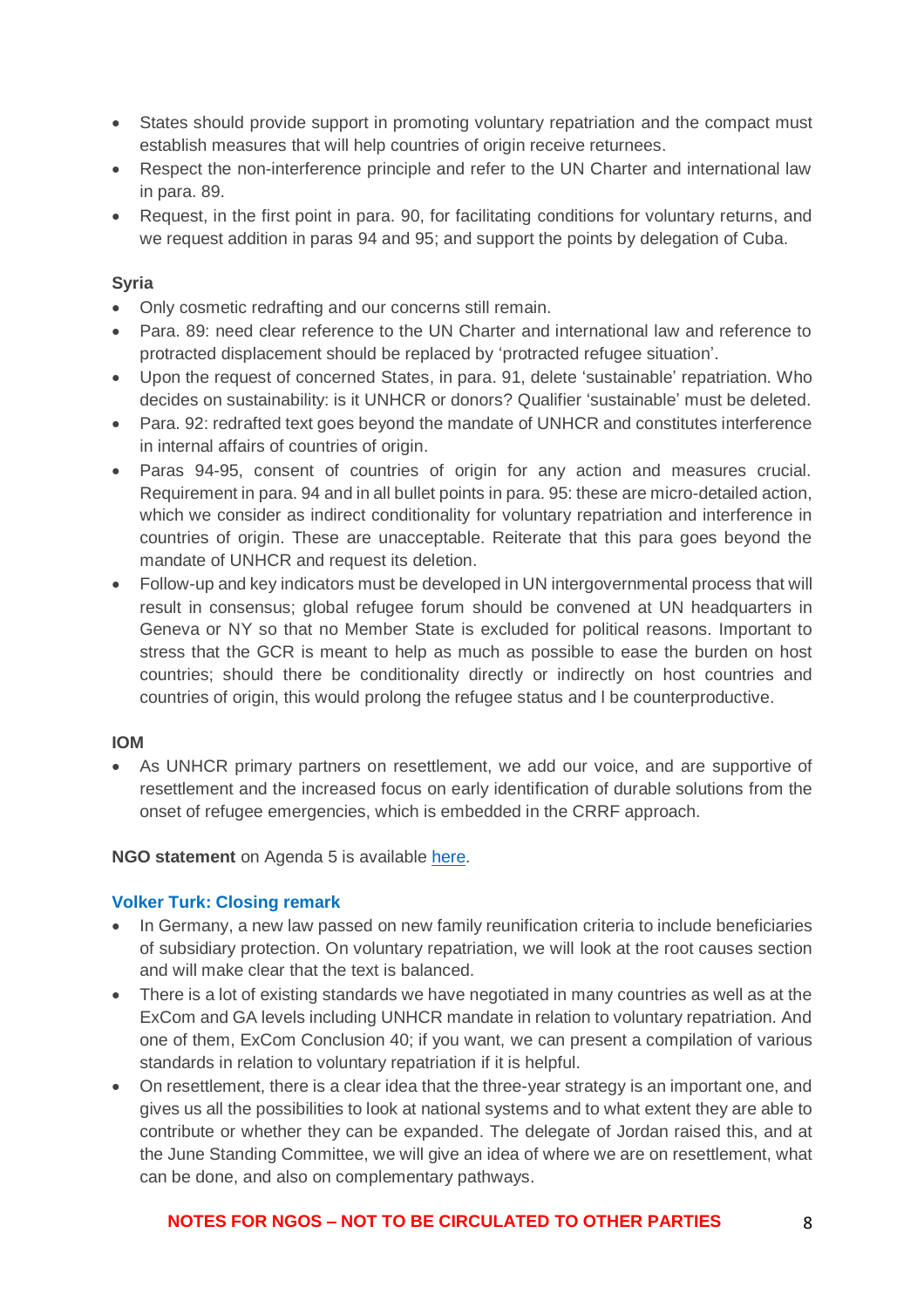- States should provide support in promoting voluntary repatriation and the compact must establish measures that will help countries of origin receive returnees.
- Respect the non-interference principle and refer to the UN Charter and international law in para. 89.
- Request, in the first point in para. 90, for facilitating conditions for voluntary returns, and we request addition in paras 94 and 95; and support the points by delegation of Cuba.

#### **Syria**

- Only cosmetic redrafting and our concerns still remain.
- Para. 89: need clear reference to the UN Charter and international law and reference to protracted displacement should be replaced by 'protracted refugee situation'.
- Upon the request of concerned States, in para. 91, delete 'sustainable' repatriation. Who decides on sustainability: is it UNHCR or donors? Qualifier 'sustainable' must be deleted.
- Para. 92: redrafted text goes beyond the mandate of UNHCR and constitutes interference in internal affairs of countries of origin.
- Paras 94-95, consent of countries of origin for any action and measures crucial. Requirement in para. 94 and in all bullet points in para. 95: these are micro-detailed action, which we consider as indirect conditionality for voluntary repatriation and interference in countries of origin. These are unacceptable. Reiterate that this para goes beyond the mandate of UNHCR and request its deletion.
- Follow-up and key indicators must be developed in UN intergovernmental process that will result in consensus; global refugee forum should be convened at UN headquarters in Geneva or NY so that no Member State is excluded for political reasons. Important to stress that the GCR is meant to help as much as possible to ease the burden on host countries; should there be conditionality directly or indirectly on host countries and countries of origin, this would prolong the refugee status and l be counterproductive.

#### **IOM**

• As UNHCR primary partners on resettlement, we add our voice, and are supportive of resettlement and the increased focus on early identification of durable solutions from the onset of refugee emergencies, which is embedded in the CRRF approach.

#### **NGO statement** on Agenda 5 is available [here.](https://www.icvanetwork.org/system/files/versions/Agenda%20item%205_Fourth%20Formal%20Consultations_ORAL_May2018.pdf)

# **Volker Turk: Closing remark**

- In Germany, a new law passed on new family reunification criteria to include beneficiaries of subsidiary protection. On voluntary repatriation, we will look at the root causes section and will make clear that the text is balanced.
- There is a lot of existing standards we have negotiated in many countries as well as at the ExCom and GA levels including UNHCR mandate in relation to voluntary repatriation. And one of them, ExCom Conclusion 40; if you want, we can present a compilation of various standards in relation to voluntary repatriation if it is helpful.
- On resettlement, there is a clear idea that the three-year strategy is an important one, and gives us all the possibilities to look at national systems and to what extent they are able to contribute or whether they can be expanded. The delegate of Jordan raised this, and at the June Standing Committee, we will give an idea of where we are on resettlement, what can be done, and also on complementary pathways.